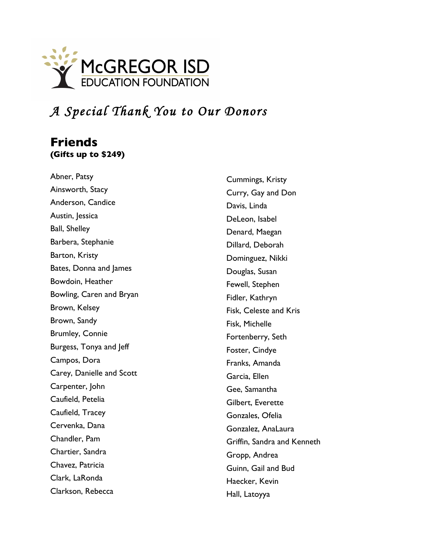

# *A Special Thank You to Our Donors*

### **Friends (Gifts up to \$249)**

Abner, Patsy Ainsworth, Stacy Anderson, Candice Austin, Jessica Ball, Shelley Barbera, Stephanie Barton, Kristy Bates, Donna and James Bowdoin, Heather Bowling, Caren and Bryan Brown, Kelsey Brown, Sandy Brumley, Connie Burgess, Tonya and Jeff Campos, Dora Carey, Danielle and Scott Carpenter, John Caufield, Petelia Caufield, Tracey Cervenka, Dana Chandler, Pam Chartier, Sandra Chavez, Patricia Clark, LaRonda Clarkson, Rebecca

Cummings, Kristy Curry, Gay and Don Davis, Linda DeLeon, Isabel Denard, Maegan Dillard, Deborah Dominguez, Nikki Douglas, Susan Fewell, Stephen Fidler, Kathryn Fisk, Celeste and Kris Fisk, Michelle Fortenberry, Seth Foster, Cindye Franks, Amanda Garcia, Ellen Gee, Samantha Gilbert, Everette Gonzales, Ofelia Gonzalez, AnaLaura Griffin, Sandra and Kenneth Gropp, Andrea Guinn, Gail and Bud Haecker, Kevin Hall, Latoyya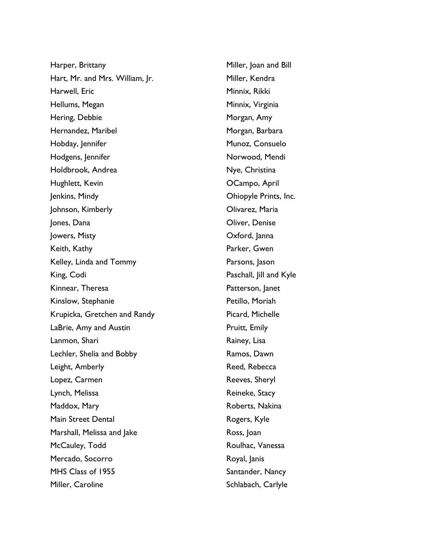Harper, Brittany Hart, Mr. and Mrs. William, Jr. Harwell, Eric Hellums, Megan Hering, Debbie Hernandez, Maribel Hobday, Jennifer Hodgens, Jennifer Holdbrook, Andrea Hughlett, Kevin Jenkins, Mindy Johnson, Kimberly Jones, Dana Jowers, Misty Keith, Kathy Kelley, Linda and Tommy King, Codi Kinnear, Theresa Kinslow, Stephanie Krupicka, Gretchen and Randy LaBrie, Amy and Austin Lanmon, Shari Lechler, Shelia and Bobby Leight, Amberly Lopez, Carmen Lynch, Melissa Maddox, Mary Main Street Dental Marshall, Melissa and Jake McCauley, Todd Mercado, Socorro MHS Class of 1955 Miller, Caroline

Miller, Joan and Bill Miller, Kendra Minnix, Rikki Minnix, Virginia Morgan, Amy Morgan, Barbara Munoz, Consuelo Norwood, Mendi Nye, Christina OCampo, April Ohiopyle Prints, Inc. Olivarez, Maria Oliver, Denise Oxford, Janna Parker, Gwen Parsons, Jason Paschall, Jill and Kyle Patterson, Janet Petillo, Moriah Picard, Michelle Pruitt, Emily Rainey, Lisa Ramos, Dawn Reed, Rebecca Reeves, Sheryl Reineke, Stacy Roberts, Nakina Rogers, Kyle Ross, Joan Roulhac, Vanessa Royal, Janis Santander, Nancy Schlabach, Carlyle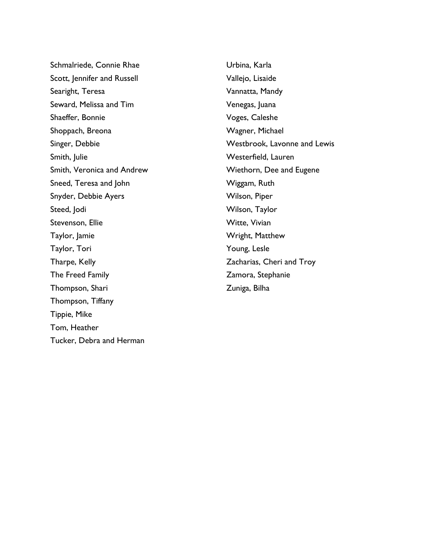Schmalriede, Connie Rhae Scott, Jennifer and Russell Searight, Teresa Seward, Melissa and Tim Shaeffer, Bonnie Shoppach, Breona Singer, Debbie Smith, Julie Smith, Veronica and Andrew Sneed, Teresa and John Snyder, Debbie Ayers Steed, Jodi Stevenson, Ellie Taylor, Jamie Taylor, Tori Tharpe, Kelly The Freed Family Thompson, Shari Thompson, Tiffany Tippie, Mike Tom, Heather Tucker, Debra and Herman

Urbina, Karla Vallejo, Lisaide Vannatta, Mandy Venegas, Juana Voges, Caleshe Wagner, Michael Westbrook, Lavonne and Lewis Westerfield, Lauren Wiethorn, Dee and Eugene Wiggam, Ruth Wilson, Piper Wilson, Taylor Witte, Vivian Wright, Matthew Young, Lesle Zacharias, Cheri and Troy Zamora, Stephanie Zuniga, Bilha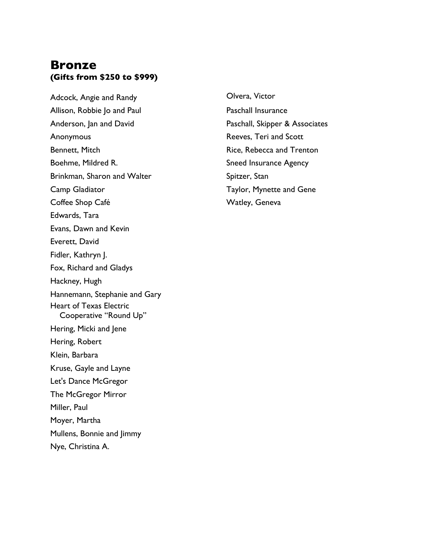### **Bronze (Gifts from \$250 to \$999)**

Adcock, Angie and Randy Allison, Robbie Jo and Paul Anderson, Jan and David Anonymous Bennett, Mitch Boehme, Mildred R. Brinkman, Sharon and Walter Camp Gladiator Coffee Shop Café Edwards, Tara Evans, Dawn and Kevin Everett, David Fidler, Kathryn J. Fox, Richard and Gladys Hackney, Hugh Hannemann, Stephanie and Gary Heart of Texas Electric Cooperative "Round Up" Hering, Micki and Jene Hering, Robert Klein, Barbara Kruse, Gayle and Layne Let's Dance McGregor The McGregor Mirror Miller, Paul Moyer, Martha Mullens, Bonnie and Jimmy Nye, Christina A.

Olvera, Victor Paschall Insurance Paschall, Skipper & Associates Reeves, Teri and Scott Rice, Rebecca and Trenton Sneed Insurance Agency Spitzer, Stan Taylor, Mynette and Gene Watley, Geneva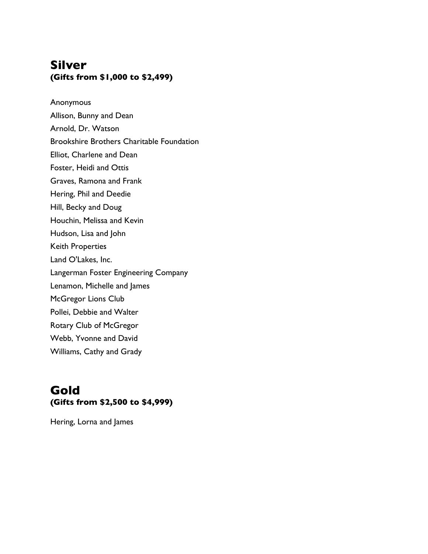## **Silver (Gifts from \$1,000 to \$2,499)**

Anonymous

- Allison, Bunny and Dean Arnold, Dr. Watson Brookshire Brothers Charitable Foundation Elliot, Charlene and Dean
- Foster, Heidi and Ottis
- Graves, Ramona and Frank
- Hering, Phil and Deedie
- Hill, Becky and Doug
- Houchin, Melissa and Kevin
- Hudson, Lisa and John
- Keith Properties
- Land O'Lakes, Inc.
- Langerman Foster Engineering Company
- Lenamon, Michelle and James
- McGregor Lions Club
- Pollei, Debbie and Walter
- Rotary Club of McGregor
- Webb, Yvonne and David
- Williams, Cathy and Grady

### **Gold (Gifts from \$2,500 to \$4,999)**

Hering, Lorna and James